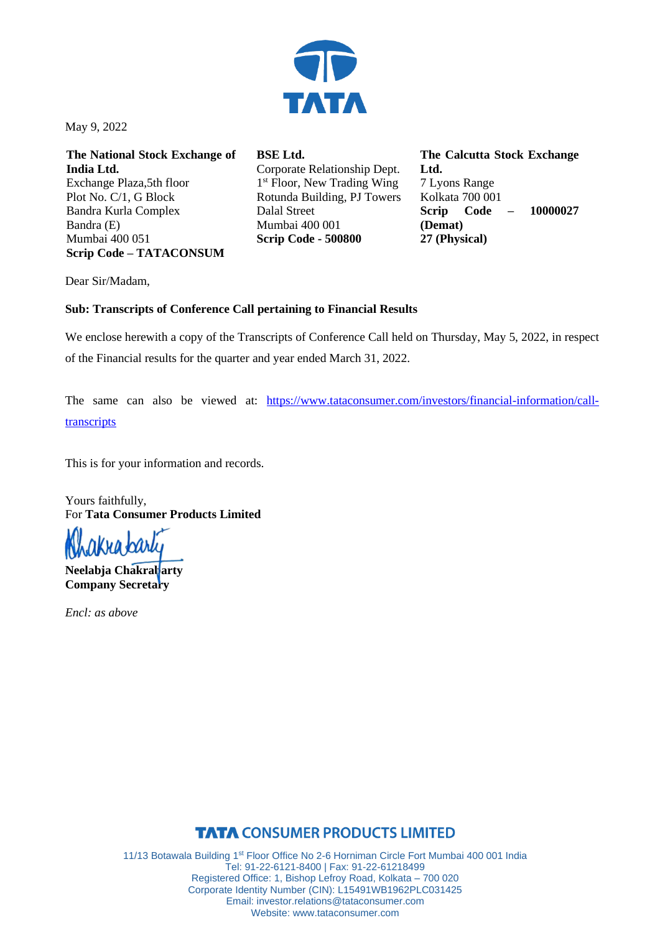

May 9, 2022

**The National Stock Exchange of India Ltd.** Exchange Plaza,5th floor Plot No. C/1, G Block Bandra Kurla Complex Bandra (E) Mumbai 400 051 **Scrip Code – TATACONSUM**

**BSE Ltd.** Corporate Relationship Dept. 1<sup>st</sup> Floor, New Trading Wing Rotunda Building, PJ Towers Dalal Street Mumbai 400 001 **Scrip Code - 500800**

**The Calcutta Stock Exchange Ltd.** 7 Lyons Range Kolkata 700 001 **Scrip Code – 10000027 (Demat) 27 (Physical)**

Dear Sir/Madam,

#### **Sub: Transcripts of Conference Call pertaining to Financial Results**

We enclose herewith a copy of the Transcripts of Conference Call held on Thursday, May 5, 2022, in respect of the Financial results for the quarter and year ended March 31, 2022.

The same can also be viewed at: [https://www.tataconsumer.com/investors/financial-information/call](https://www.tataconsumer.com/investors/financial-information/call-transcripts)[transcripts](https://www.tataconsumer.com/investors/financial-information/call-transcripts)

This is for your information and records.

Yours faithfully, For **Tata Consumer Products Limited**

Ì nkya barly

**Neelabja Chakrabarty Company Secretary**

*Encl: as above*

## **TATA CONSUMER PRODUCTS LIMITED**

11/13 Botawala Building 1<sup>st</sup> Floor Office No 2-6 Horniman Circle Fort Mumbai 400 001 India Tel: 91-22-6121-8400 | Fax: 91-22-61218499 Registered Office: 1, Bishop Lefroy Road, Kolkata – 700 020 Corporate Identity Number (CIN): L15491WB1962PLC031425 Email: investor.relations@tataconsumer.com Website: www.tataconsumer.com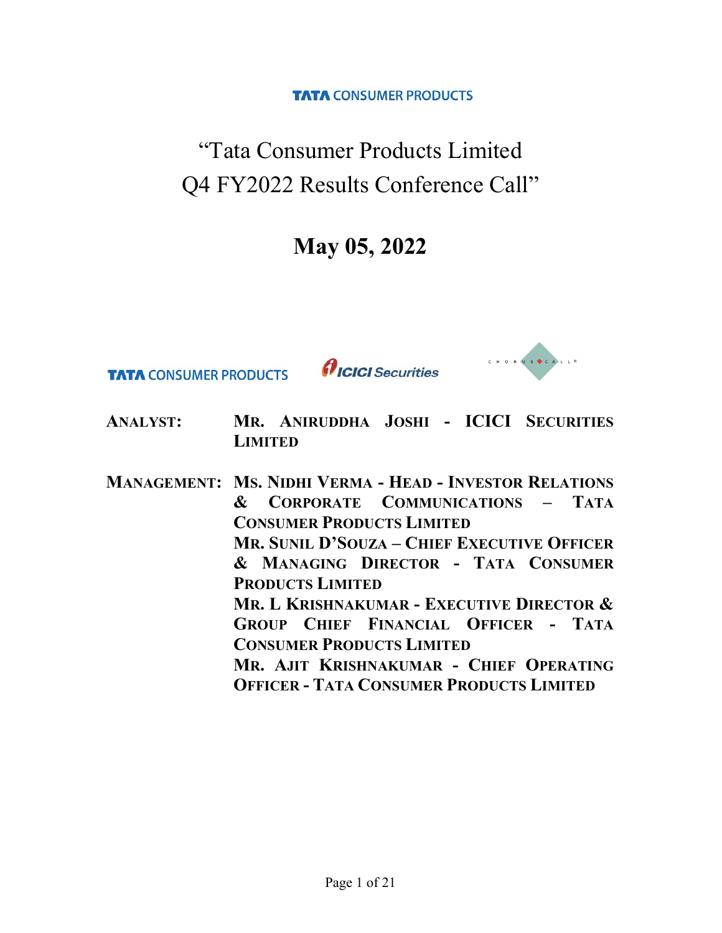**TATA CONSUMER PRODUCTS** 

"Tata Consumer Products Limited Q4 FY2022 Results Conference Call"

# May 05, 2022

**TATA CONSUMER PRODUCTS** 

*<u>AICICI Securities*</u>



- ANALYST: MR. ANIRUDDHA JOSHI ICICI SECURITIES **LIMITED**
- MANAGEMENT: MS. NIDHI VERMA HEAD INVESTOR RELATIONS & CORPORATE COMMUNICATIONS – TATA CONSUMER PRODUCTS LIMITED MR. SUNIL D'SOUZA – CHIEF EXECUTIVE OFFICER & MANAGING DIRECTOR - TATA CONSUMER PRODUCTS LIMITED MR. L KRISHNAKUMAR - EXECUTIVE DIRECTOR & GROUP CHIEF FINANCIAL OFFICER - TATA CONSUMER PRODUCTS LIMITED MR. AJIT KRISHNAKUMAR - CHIEF OPERATING OFFICER - TATA CONSUMER PRODUCTS LIMITED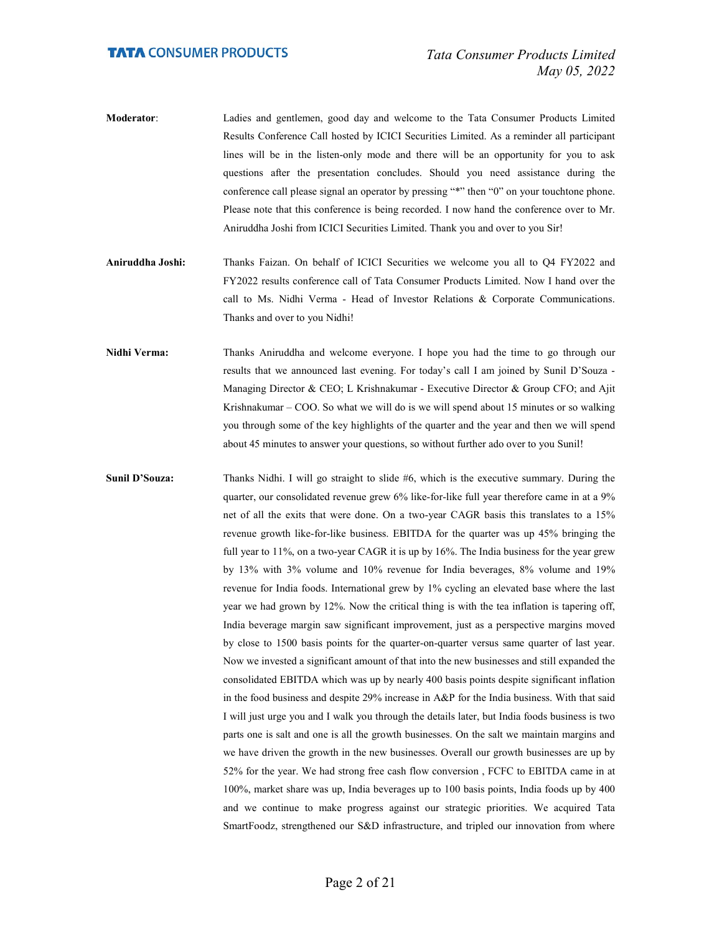- Moderator: Ladies and gentlemen, good day and welcome to the Tata Consumer Products Limited Results Conference Call hosted by ICICI Securities Limited. As a reminder all participant lines will be in the listen-only mode and there will be an opportunity for you to ask questions after the presentation concludes. Should you need assistance during the conference call please signal an operator by pressing "\*" then "0" on your touchtone phone. Please note that this conference is being recorded. I now hand the conference over to Mr. Aniruddha Joshi from ICICI Securities Limited. Thank you and over to you Sir!
- Aniruddha Joshi: Thanks Faizan. On behalf of ICICI Securities we welcome you all to Q4 FY2022 and FY2022 results conference call of Tata Consumer Products Limited. Now I hand over the call to Ms. Nidhi Verma - Head of Investor Relations & Corporate Communications. Thanks and over to you Nidhi!
- Nidhi Verma: Thanks Aniruddha and welcome everyone. I hope you had the time to go through our results that we announced last evening. For today's call I am joined by Sunil D'Souza - Managing Director & CEO; L Krishnakumar - Executive Director & Group CFO; and Ajit Krishnakumar – COO. So what we will do is we will spend about 15 minutes or so walking you through some of the key highlights of the quarter and the year and then we will spend about 45 minutes to answer your questions, so without further ado over to you Sunil!
- Sunil D'Souza: Thanks Nidhi. I will go straight to slide #6, which is the executive summary. During the quarter, our consolidated revenue grew 6% like-for-like full year therefore came in at a 9% net of all the exits that were done. On a two-year CAGR basis this translates to a 15% revenue growth like-for-like business. EBITDA for the quarter was up 45% bringing the full year to 11%, on a two-year CAGR it is up by 16%. The India business for the year grew by 13% with 3% volume and 10% revenue for India beverages, 8% volume and 19% revenue for India foods. International grew by 1% cycling an elevated base where the last year we had grown by 12%. Now the critical thing is with the tea inflation is tapering off, India beverage margin saw significant improvement, just as a perspective margins moved by close to 1500 basis points for the quarter-on-quarter versus same quarter of last year. Now we invested a significant amount of that into the new businesses and still expanded the consolidated EBITDA which was up by nearly 400 basis points despite significant inflation in the food business and despite 29% increase in A&P for the India business. With that said I will just urge you and I walk you through the details later, but India foods business is two parts one is salt and one is all the growth businesses. On the salt we maintain margins and we have driven the growth in the new businesses. Overall our growth businesses are up by 52% for the year. We had strong free cash flow conversion , FCFC to EBITDA came in at 100%, market share was up, India beverages up to 100 basis points, India foods up by 400 and we continue to make progress against our strategic priorities. We acquired Tata SmartFoodz, strengthened our S&D infrastructure, and tripled our innovation from where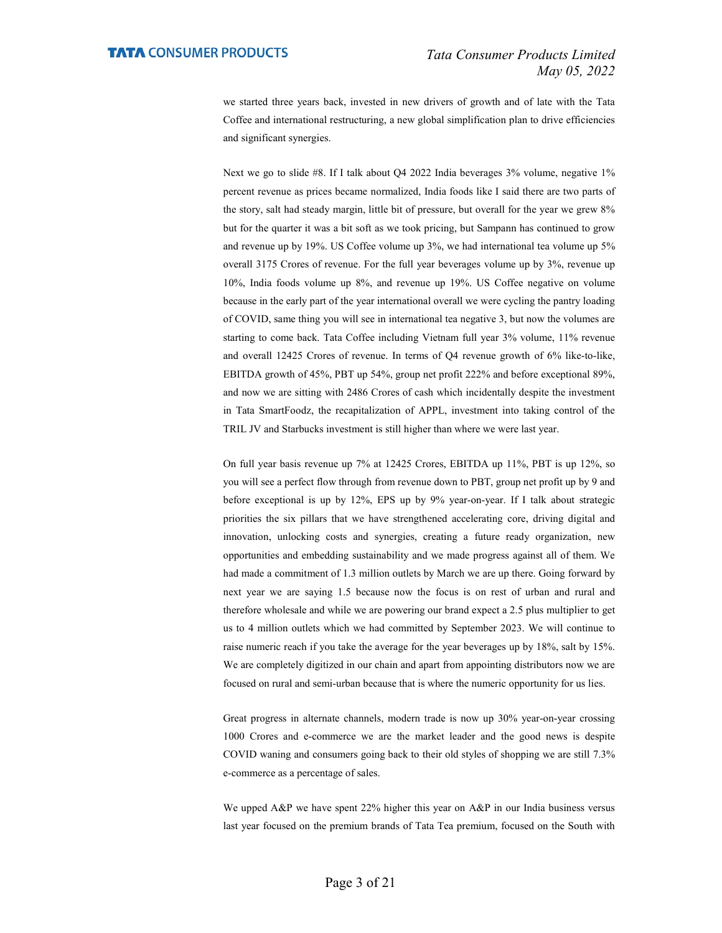we started three years back, invested in new drivers of growth and of late with the Tata Coffee and international restructuring, a new global simplification plan to drive efficiencies and significant synergies.

 Next we go to slide #8. If I talk about Q4 2022 India beverages 3% volume, negative 1% percent revenue as prices became normalized, India foods like I said there are two parts of the story, salt had steady margin, little bit of pressure, but overall for the year we grew 8% but for the quarter it was a bit soft as we took pricing, but Sampann has continued to grow and revenue up by 19%. US Coffee volume up 3%, we had international tea volume up 5% overall 3175 Crores of revenue. For the full year beverages volume up by 3%, revenue up 10%, India foods volume up 8%, and revenue up 19%. US Coffee negative on volume because in the early part of the year international overall we were cycling the pantry loading of COVID, same thing you will see in international tea negative 3, but now the volumes are starting to come back. Tata Coffee including Vietnam full year 3% volume, 11% revenue and overall 12425 Crores of revenue. In terms of Q4 revenue growth of 6% like-to-like, EBITDA growth of 45%, PBT up 54%, group net profit 222% and before exceptional 89%, and now we are sitting with 2486 Crores of cash which incidentally despite the investment in Tata SmartFoodz, the recapitalization of APPL, investment into taking control of the TRIL JV and Starbucks investment is still higher than where we were last year.

 On full year basis revenue up 7% at 12425 Crores, EBITDA up 11%, PBT is up 12%, so you will see a perfect flow through from revenue down to PBT, group net profit up by 9 and before exceptional is up by 12%, EPS up by 9% year-on-year. If I talk about strategic priorities the six pillars that we have strengthened accelerating core, driving digital and innovation, unlocking costs and synergies, creating a future ready organization, new opportunities and embedding sustainability and we made progress against all of them. We had made a commitment of 1.3 million outlets by March we are up there. Going forward by next year we are saying 1.5 because now the focus is on rest of urban and rural and therefore wholesale and while we are powering our brand expect a 2.5 plus multiplier to get us to 4 million outlets which we had committed by September 2023. We will continue to raise numeric reach if you take the average for the year beverages up by 18%, salt by 15%. We are completely digitized in our chain and apart from appointing distributors now we are focused on rural and semi-urban because that is where the numeric opportunity for us lies.

 Great progress in alternate channels, modern trade is now up 30% year-on-year crossing 1000 Crores and e-commerce we are the market leader and the good news is despite COVID waning and consumers going back to their old styles of shopping we are still 7.3% e-commerce as a percentage of sales.

We upped A&P we have spent 22% higher this year on A&P in our India business versus last year focused on the premium brands of Tata Tea premium, focused on the South with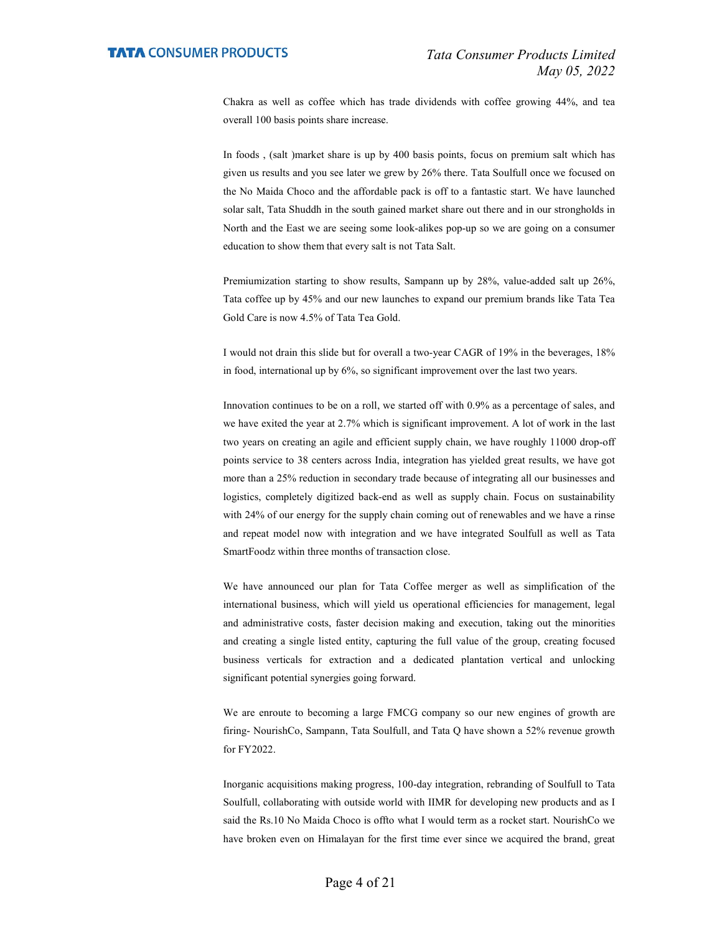Chakra as well as coffee which has trade dividends with coffee growing 44%, and tea overall 100 basis points share increase.

 In foods , (salt )market share is up by 400 basis points, focus on premium salt which has given us results and you see later we grew by 26% there. Tata Soulfull once we focused on the No Maida Choco and the affordable pack is off to a fantastic start. We have launched solar salt, Tata Shuddh in the south gained market share out there and in our strongholds in North and the East we are seeing some look-alikes pop-up so we are going on a consumer education to show them that every salt is not Tata Salt.

 Premiumization starting to show results, Sampann up by 28%, value-added salt up 26%, Tata coffee up by 45% and our new launches to expand our premium brands like Tata Tea Gold Care is now 4.5% of Tata Tea Gold.

 I would not drain this slide but for overall a two-year CAGR of 19% in the beverages, 18% in food, international up by 6%, so significant improvement over the last two years.

 Innovation continues to be on a roll, we started off with 0.9% as a percentage of sales, and we have exited the year at 2.7% which is significant improvement. A lot of work in the last two years on creating an agile and efficient supply chain, we have roughly 11000 drop-off points service to 38 centers across India, integration has yielded great results, we have got more than a 25% reduction in secondary trade because of integrating all our businesses and logistics, completely digitized back-end as well as supply chain. Focus on sustainability with 24% of our energy for the supply chain coming out of renewables and we have a rinse and repeat model now with integration and we have integrated Soulfull as well as Tata SmartFoodz within three months of transaction close.

 We have announced our plan for Tata Coffee merger as well as simplification of the international business, which will yield us operational efficiencies for management, legal and administrative costs, faster decision making and execution, taking out the minorities and creating a single listed entity, capturing the full value of the group, creating focused business verticals for extraction and a dedicated plantation vertical and unlocking significant potential synergies going forward.

 We are enroute to becoming a large FMCG company so our new engines of growth are firing- NourishCo, Sampann, Tata Soulfull, and Tata Q have shown a 52% revenue growth for FY2022.

 Inorganic acquisitions making progress, 100-day integration, rebranding of Soulfull to Tata Soulfull, collaborating with outside world with IIMR for developing new products and as I said the Rs.10 No Maida Choco is offto what I would term as a rocket start. NourishCo we have broken even on Himalayan for the first time ever since we acquired the brand, great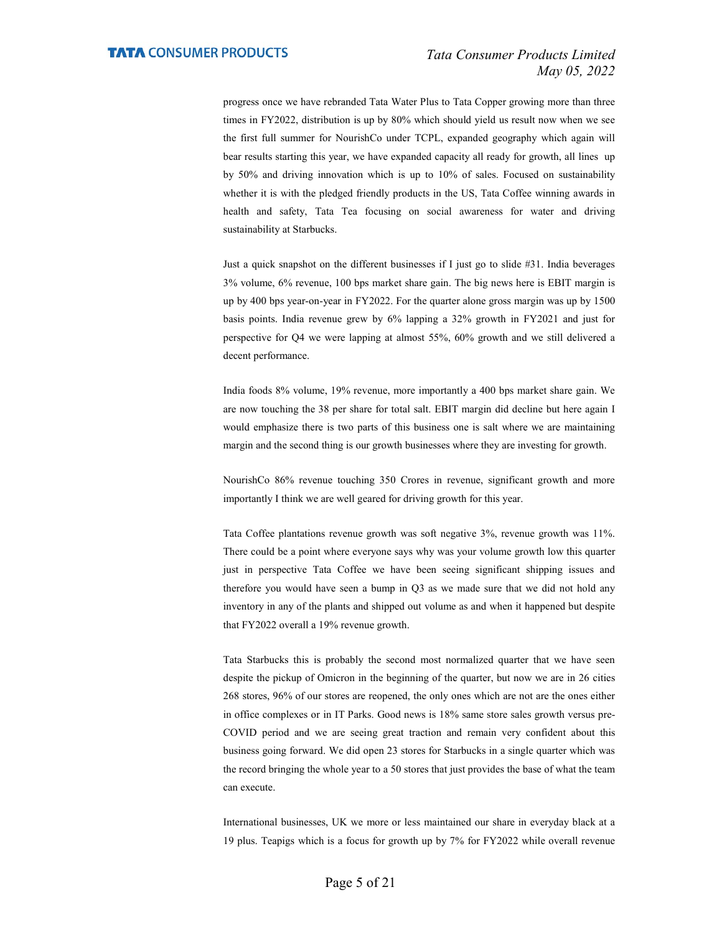progress once we have rebranded Tata Water Plus to Tata Copper growing more than three times in FY2022, distribution is up by 80% which should yield us result now when we see the first full summer for NourishCo under TCPL, expanded geography which again will bear results starting this year, we have expanded capacity all ready for growth, all lines up by 50% and driving innovation which is up to 10% of sales. Focused on sustainability whether it is with the pledged friendly products in the US, Tata Coffee winning awards in health and safety, Tata Tea focusing on social awareness for water and driving sustainability at Starbucks.

 Just a quick snapshot on the different businesses if I just go to slide #31. India beverages 3% volume, 6% revenue, 100 bps market share gain. The big news here is EBIT margin is up by 400 bps year-on-year in FY2022. For the quarter alone gross margin was up by 1500 basis points. India revenue grew by 6% lapping a 32% growth in FY2021 and just for perspective for Q4 we were lapping at almost 55%, 60% growth and we still delivered a decent performance.

 India foods 8% volume, 19% revenue, more importantly a 400 bps market share gain. We are now touching the 38 per share for total salt. EBIT margin did decline but here again I would emphasize there is two parts of this business one is salt where we are maintaining margin and the second thing is our growth businesses where they are investing for growth.

 NourishCo 86% revenue touching 350 Crores in revenue, significant growth and more importantly I think we are well geared for driving growth for this year.

 Tata Coffee plantations revenue growth was soft negative 3%, revenue growth was 11%. There could be a point where everyone says why was your volume growth low this quarter just in perspective Tata Coffee we have been seeing significant shipping issues and therefore you would have seen a bump in Q3 as we made sure that we did not hold any inventory in any of the plants and shipped out volume as and when it happened but despite that FY2022 overall a 19% revenue growth.

 Tata Starbucks this is probably the second most normalized quarter that we have seen despite the pickup of Omicron in the beginning of the quarter, but now we are in 26 cities 268 stores, 96% of our stores are reopened, the only ones which are not are the ones either in office complexes or in IT Parks. Good news is 18% same store sales growth versus pre-COVID period and we are seeing great traction and remain very confident about this business going forward. We did open 23 stores for Starbucks in a single quarter which was the record bringing the whole year to a 50 stores that just provides the base of what the team can execute.

 International businesses, UK we more or less maintained our share in everyday black at a 19 plus. Teapigs which is a focus for growth up by 7% for FY2022 while overall revenue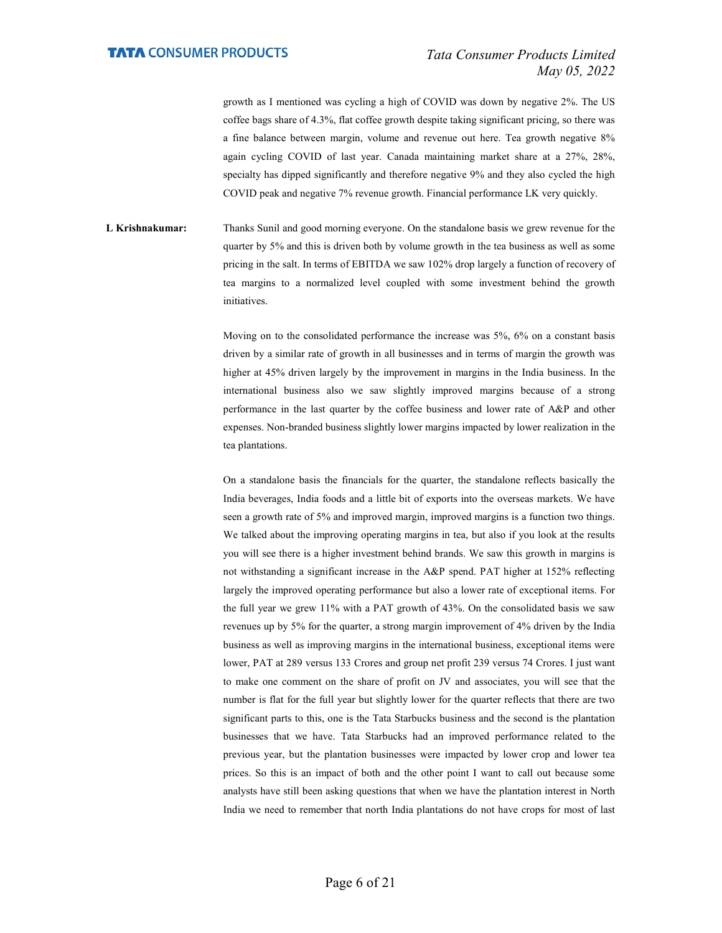growth as I mentioned was cycling a high of COVID was down by negative 2%. The US coffee bags share of 4.3%, flat coffee growth despite taking significant pricing, so there was a fine balance between margin, volume and revenue out here. Tea growth negative 8% again cycling COVID of last year. Canada maintaining market share at a 27%, 28%, specialty has dipped significantly and therefore negative 9% and they also cycled the high COVID peak and negative 7% revenue growth. Financial performance LK very quickly.

L Krishnakumar: Thanks Sunil and good morning everyone. On the standalone basis we grew revenue for the quarter by 5% and this is driven both by volume growth in the tea business as well as some pricing in the salt. In terms of EBITDA we saw 102% drop largely a function of recovery of tea margins to a normalized level coupled with some investment behind the growth initiatives.

> Moving on to the consolidated performance the increase was 5%, 6% on a constant basis driven by a similar rate of growth in all businesses and in terms of margin the growth was higher at 45% driven largely by the improvement in margins in the India business. In the international business also we saw slightly improved margins because of a strong performance in the last quarter by the coffee business and lower rate of A&P and other expenses. Non-branded business slightly lower margins impacted by lower realization in the tea plantations.

> On a standalone basis the financials for the quarter, the standalone reflects basically the India beverages, India foods and a little bit of exports into the overseas markets. We have seen a growth rate of 5% and improved margin, improved margins is a function two things. We talked about the improving operating margins in tea, but also if you look at the results you will see there is a higher investment behind brands. We saw this growth in margins is not withstanding a significant increase in the A&P spend. PAT higher at 152% reflecting largely the improved operating performance but also a lower rate of exceptional items. For the full year we grew 11% with a PAT growth of 43%. On the consolidated basis we saw revenues up by 5% for the quarter, a strong margin improvement of 4% driven by the India business as well as improving margins in the international business, exceptional items were lower, PAT at 289 versus 133 Crores and group net profit 239 versus 74 Crores. I just want to make one comment on the share of profit on JV and associates, you will see that the number is flat for the full year but slightly lower for the quarter reflects that there are two significant parts to this, one is the Tata Starbucks business and the second is the plantation businesses that we have. Tata Starbucks had an improved performance related to the previous year, but the plantation businesses were impacted by lower crop and lower tea prices. So this is an impact of both and the other point I want to call out because some analysts have still been asking questions that when we have the plantation interest in North India we need to remember that north India plantations do not have crops for most of last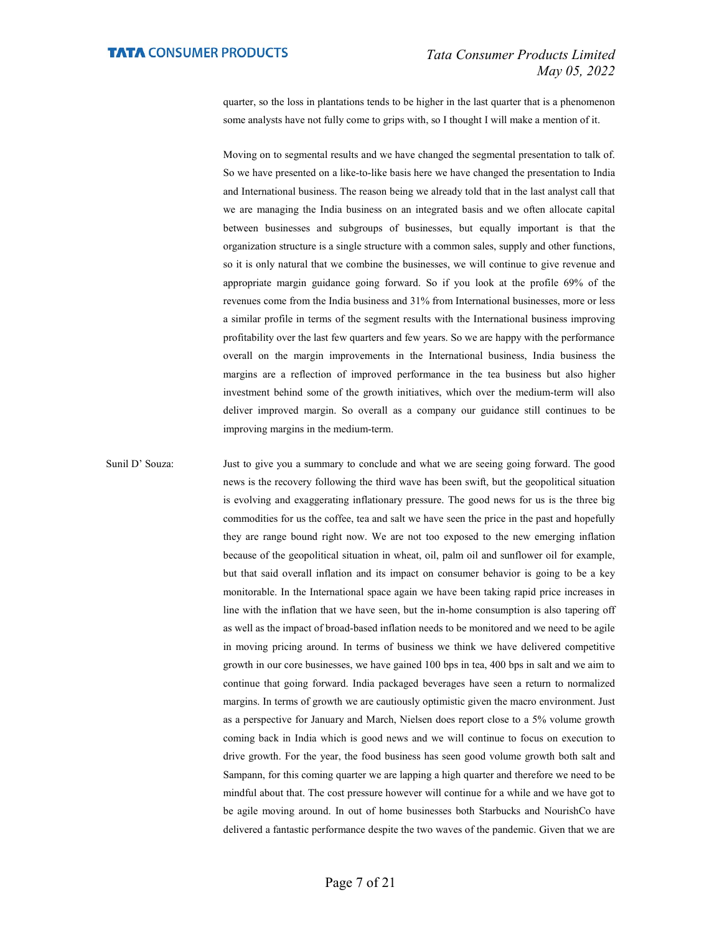quarter, so the loss in plantations tends to be higher in the last quarter that is a phenomenon some analysts have not fully come to grips with, so I thought I will make a mention of it.

 Moving on to segmental results and we have changed the segmental presentation to talk of. So we have presented on a like-to-like basis here we have changed the presentation to India and International business. The reason being we already told that in the last analyst call that we are managing the India business on an integrated basis and we often allocate capital between businesses and subgroups of businesses, but equally important is that the organization structure is a single structure with a common sales, supply and other functions, so it is only natural that we combine the businesses, we will continue to give revenue and appropriate margin guidance going forward. So if you look at the profile 69% of the revenues come from the India business and 31% from International businesses, more or less a similar profile in terms of the segment results with the International business improving profitability over the last few quarters and few years. So we are happy with the performance overall on the margin improvements in the International business, India business the margins are a reflection of improved performance in the tea business but also higher investment behind some of the growth initiatives, which over the medium-term will also deliver improved margin. So overall as a company our guidance still continues to be improving margins in the medium-term.

Sunil D' Souza: Just to give you a summary to conclude and what we are seeing going forward. The good news is the recovery following the third wave has been swift, but the geopolitical situation is evolving and exaggerating inflationary pressure. The good news for us is the three big commodities for us the coffee, tea and salt we have seen the price in the past and hopefully they are range bound right now. We are not too exposed to the new emerging inflation because of the geopolitical situation in wheat, oil, palm oil and sunflower oil for example, but that said overall inflation and its impact on consumer behavior is going to be a key monitorable. In the International space again we have been taking rapid price increases in line with the inflation that we have seen, but the in-home consumption is also tapering off as well as the impact of broad-based inflation needs to be monitored and we need to be agile in moving pricing around. In terms of business we think we have delivered competitive growth in our core businesses, we have gained 100 bps in tea, 400 bps in salt and we aim to continue that going forward. India packaged beverages have seen a return to normalized margins. In terms of growth we are cautiously optimistic given the macro environment. Just as a perspective for January and March, Nielsen does report close to a 5% volume growth coming back in India which is good news and we will continue to focus on execution to drive growth. For the year, the food business has seen good volume growth both salt and Sampann, for this coming quarter we are lapping a high quarter and therefore we need to be mindful about that. The cost pressure however will continue for a while and we have got to be agile moving around. In out of home businesses both Starbucks and NourishCo have delivered a fantastic performance despite the two waves of the pandemic. Given that we are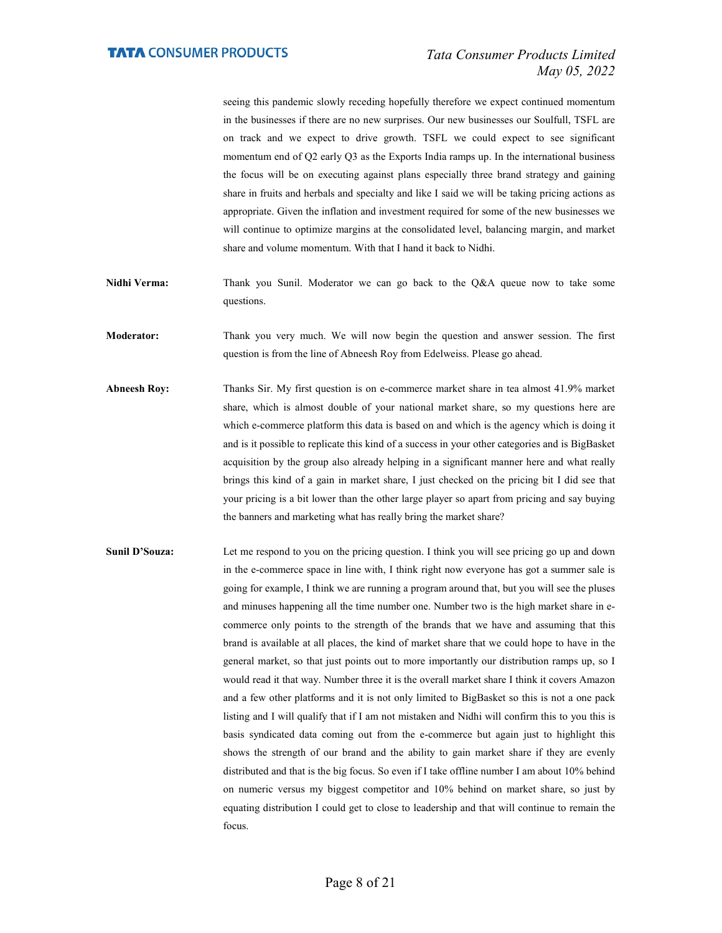seeing this pandemic slowly receding hopefully therefore we expect continued momentum in the businesses if there are no new surprises. Our new businesses our Soulfull, TSFL are on track and we expect to drive growth. TSFL we could expect to see significant momentum end of Q2 early Q3 as the Exports India ramps up. In the international business the focus will be on executing against plans especially three brand strategy and gaining share in fruits and herbals and specialty and like I said we will be taking pricing actions as appropriate. Given the inflation and investment required for some of the new businesses we will continue to optimize margins at the consolidated level, balancing margin, and market share and volume momentum. With that I hand it back to Nidhi.

Nidhi Verma: Thank you Sunil. Moderator we can go back to the Q&A queue now to take some questions.

Moderator: Thank you very much. We will now begin the question and answer session. The first question is from the line of Abneesh Roy from Edelweiss. Please go ahead.

- Abneesh Roy: Thanks Sir. My first question is on e-commerce market share in tea almost 41.9% market share, which is almost double of your national market share, so my questions here are which e-commerce platform this data is based on and which is the agency which is doing it and is it possible to replicate this kind of a success in your other categories and is BigBasket acquisition by the group also already helping in a significant manner here and what really brings this kind of a gain in market share, I just checked on the pricing bit I did see that your pricing is a bit lower than the other large player so apart from pricing and say buying the banners and marketing what has really bring the market share?
- Sunil D'Souza: Let me respond to you on the pricing question. I think you will see pricing go up and down in the e-commerce space in line with, I think right now everyone has got a summer sale is going for example, I think we are running a program around that, but you will see the pluses and minuses happening all the time number one. Number two is the high market share in ecommerce only points to the strength of the brands that we have and assuming that this brand is available at all places, the kind of market share that we could hope to have in the general market, so that just points out to more importantly our distribution ramps up, so I would read it that way. Number three it is the overall market share I think it covers Amazon and a few other platforms and it is not only limited to BigBasket so this is not a one pack listing and I will qualify that if I am not mistaken and Nidhi will confirm this to you this is basis syndicated data coming out from the e-commerce but again just to highlight this shows the strength of our brand and the ability to gain market share if they are evenly distributed and that is the big focus. So even if I take offline number I am about 10% behind on numeric versus my biggest competitor and 10% behind on market share, so just by equating distribution I could get to close to leadership and that will continue to remain the focus.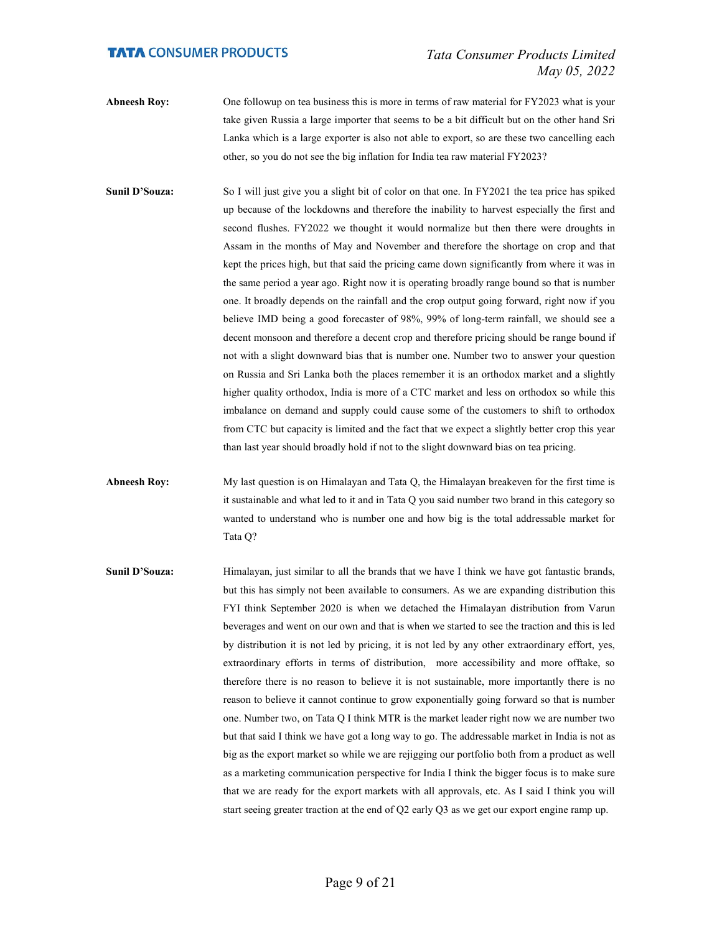- Abneesh Roy: One followup on tea business this is more in terms of raw material for FY2023 what is your take given Russia a large importer that seems to be a bit difficult but on the other hand Sri Lanka which is a large exporter is also not able to export, so are these two cancelling each other, so you do not see the big inflation for India tea raw material FY2023?
- Sunil D'Souza: So I will just give you a slight bit of color on that one. In FY2021 the tea price has spiked up because of the lockdowns and therefore the inability to harvest especially the first and second flushes. FY2022 we thought it would normalize but then there were droughts in Assam in the months of May and November and therefore the shortage on crop and that kept the prices high, but that said the pricing came down significantly from where it was in the same period a year ago. Right now it is operating broadly range bound so that is number one. It broadly depends on the rainfall and the crop output going forward, right now if you believe IMD being a good forecaster of 98%, 99% of long-term rainfall, we should see a decent monsoon and therefore a decent crop and therefore pricing should be range bound if not with a slight downward bias that is number one. Number two to answer your question on Russia and Sri Lanka both the places remember it is an orthodox market and a slightly higher quality orthodox, India is more of a CTC market and less on orthodox so while this imbalance on demand and supply could cause some of the customers to shift to orthodox from CTC but capacity is limited and the fact that we expect a slightly better crop this year than last year should broadly hold if not to the slight downward bias on tea pricing.

Abneesh Roy: My last question is on Himalayan and Tata Q, the Himalayan breakeven for the first time is it sustainable and what led to it and in Tata Q you said number two brand in this category so wanted to understand who is number one and how big is the total addressable market for Tata Q?

Sunil D'Souza: Himalayan, just similar to all the brands that we have I think we have got fantastic brands, but this has simply not been available to consumers. As we are expanding distribution this FYI think September 2020 is when we detached the Himalayan distribution from Varun beverages and went on our own and that is when we started to see the traction and this is led by distribution it is not led by pricing, it is not led by any other extraordinary effort, yes, extraordinary efforts in terms of distribution, more accessibility and more offtake, so therefore there is no reason to believe it is not sustainable, more importantly there is no reason to believe it cannot continue to grow exponentially going forward so that is number one. Number two, on Tata Q I think MTR is the market leader right now we are number two but that said I think we have got a long way to go. The addressable market in India is not as big as the export market so while we are rejigging our portfolio both from a product as well as a marketing communication perspective for India I think the bigger focus is to make sure that we are ready for the export markets with all approvals, etc. As I said I think you will start seeing greater traction at the end of Q2 early Q3 as we get our export engine ramp up.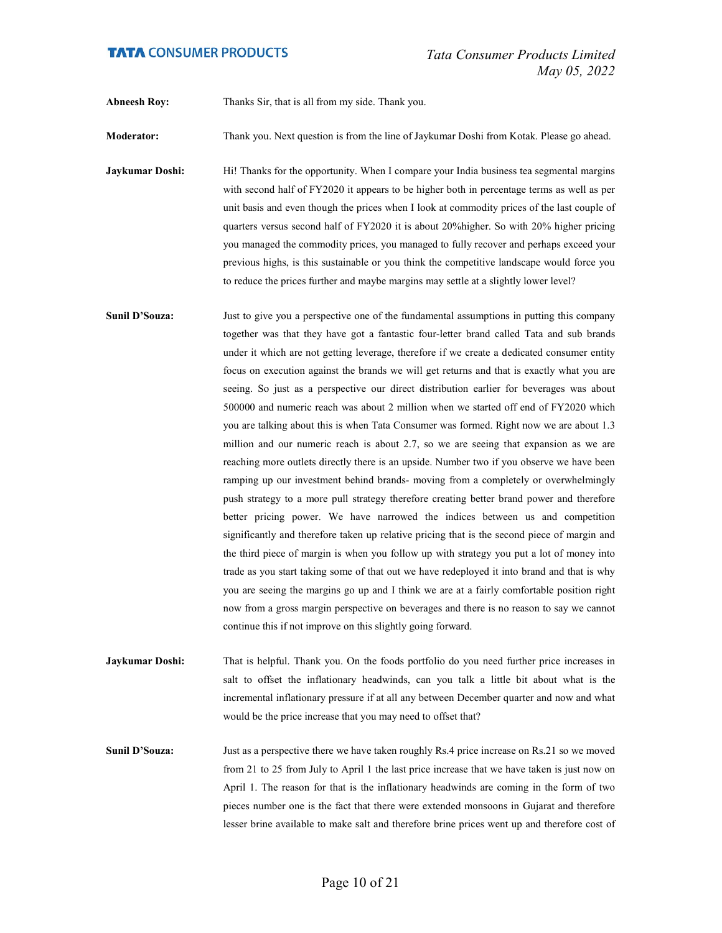Abneesh Roy: Thanks Sir, that is all from my side. Thank you.

Moderator: Thank you. Next question is from the line of Jaykumar Doshi from Kotak. Please go ahead.

**Jaykumar Doshi:** Hi! Thanks for the opportunity. When I compare your India business tea segmental margins with second half of FY2020 it appears to be higher both in percentage terms as well as per unit basis and even though the prices when I look at commodity prices of the last couple of quarters versus second half of FY2020 it is about 20%higher. So with 20% higher pricing you managed the commodity prices, you managed to fully recover and perhaps exceed your previous highs, is this sustainable or you think the competitive landscape would force you to reduce the prices further and maybe margins may settle at a slightly lower level?

Sunil D'Souza: Just to give you a perspective one of the fundamental assumptions in putting this company together was that they have got a fantastic four-letter brand called Tata and sub brands under it which are not getting leverage, therefore if we create a dedicated consumer entity focus on execution against the brands we will get returns and that is exactly what you are seeing. So just as a perspective our direct distribution earlier for beverages was about 500000 and numeric reach was about 2 million when we started off end of FY2020 which you are talking about this is when Tata Consumer was formed. Right now we are about 1.3 million and our numeric reach is about 2.7, so we are seeing that expansion as we are reaching more outlets directly there is an upside. Number two if you observe we have been ramping up our investment behind brands- moving from a completely or overwhelmingly push strategy to a more pull strategy therefore creating better brand power and therefore better pricing power. We have narrowed the indices between us and competition significantly and therefore taken up relative pricing that is the second piece of margin and the third piece of margin is when you follow up with strategy you put a lot of money into trade as you start taking some of that out we have redeployed it into brand and that is why you are seeing the margins go up and I think we are at a fairly comfortable position right now from a gross margin perspective on beverages and there is no reason to say we cannot continue this if not improve on this slightly going forward.

Jaykumar Doshi: That is helpful. Thank you. On the foods portfolio do you need further price increases in salt to offset the inflationary headwinds, can you talk a little bit about what is the incremental inflationary pressure if at all any between December quarter and now and what would be the price increase that you may need to offset that?

Sunil D'Souza: Just as a perspective there we have taken roughly Rs.4 price increase on Rs.21 so we moved from 21 to 25 from July to April 1 the last price increase that we have taken is just now on April 1. The reason for that is the inflationary headwinds are coming in the form of two pieces number one is the fact that there were extended monsoons in Gujarat and therefore lesser brine available to make salt and therefore brine prices went up and therefore cost of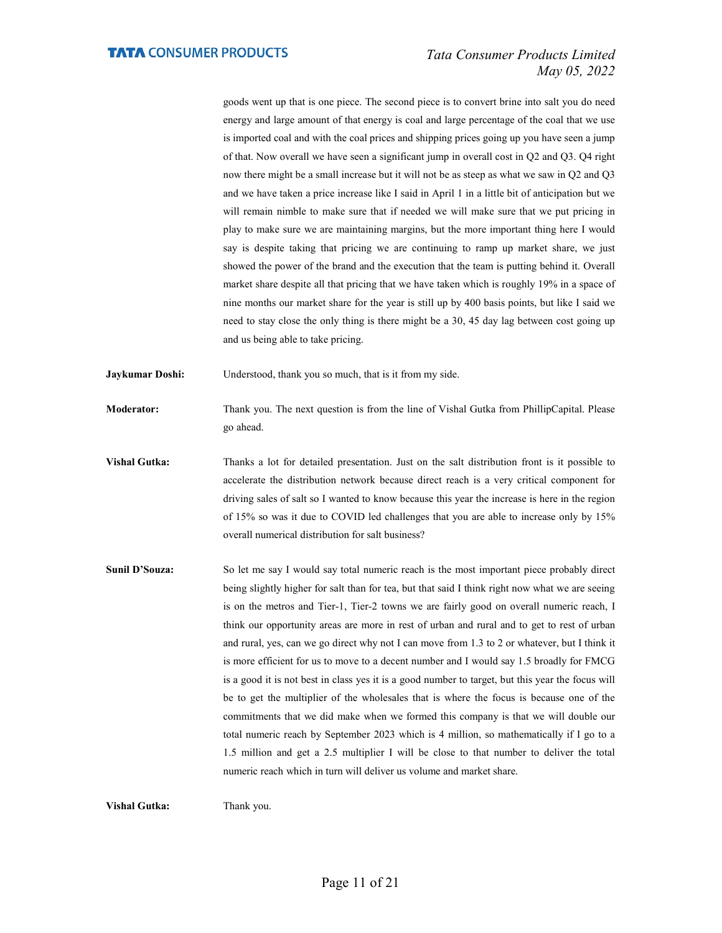goods went up that is one piece. The second piece is to convert brine into salt you do need energy and large amount of that energy is coal and large percentage of the coal that we use is imported coal and with the coal prices and shipping prices going up you have seen a jump of that. Now overall we have seen a significant jump in overall cost in Q2 and Q3. Q4 right now there might be a small increase but it will not be as steep as what we saw in Q2 and Q3 and we have taken a price increase like I said in April 1 in a little bit of anticipation but we will remain nimble to make sure that if needed we will make sure that we put pricing in play to make sure we are maintaining margins, but the more important thing here I would say is despite taking that pricing we are continuing to ramp up market share, we just showed the power of the brand and the execution that the team is putting behind it. Overall market share despite all that pricing that we have taken which is roughly 19% in a space of nine months our market share for the year is still up by 400 basis points, but like I said we need to stay close the only thing is there might be a 30, 45 day lag between cost going up and us being able to take pricing.

Jaykumar Doshi: Understood, thank you so much, that is it from my side.

Moderator: Thank you. The next question is from the line of Vishal Gutka from PhillipCapital. Please go ahead.

- Vishal Gutka: Thanks a lot for detailed presentation. Just on the salt distribution front is it possible to accelerate the distribution network because direct reach is a very critical component for driving sales of salt so I wanted to know because this year the increase is here in the region of 15% so was it due to COVID led challenges that you are able to increase only by 15% overall numerical distribution for salt business?
- Sunil D'Souza: So let me say I would say total numeric reach is the most important piece probably direct being slightly higher for salt than for tea, but that said I think right now what we are seeing is on the metros and Tier-1, Tier-2 towns we are fairly good on overall numeric reach, I think our opportunity areas are more in rest of urban and rural and to get to rest of urban and rural, yes, can we go direct why not I can move from 1.3 to 2 or whatever, but I think it is more efficient for us to move to a decent number and I would say 1.5 broadly for FMCG is a good it is not best in class yes it is a good number to target, but this year the focus will be to get the multiplier of the wholesales that is where the focus is because one of the commitments that we did make when we formed this company is that we will double our total numeric reach by September 2023 which is 4 million, so mathematically if I go to a 1.5 million and get a 2.5 multiplier I will be close to that number to deliver the total numeric reach which in turn will deliver us volume and market share.

Vishal Gutka: Thank you.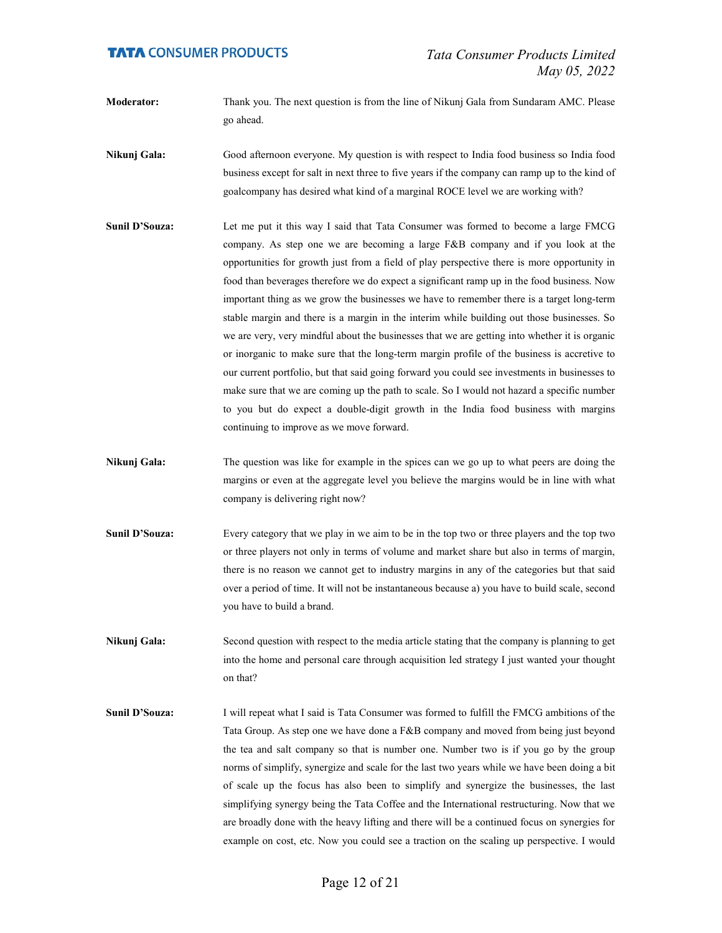- Moderator: Thank you. The next question is from the line of Nikunj Gala from Sundaram AMC. Please go ahead.
- Nikunj Gala: Good afternoon everyone. My question is with respect to India food business so India food business except for salt in next three to five years if the company can ramp up to the kind of goalcompany has desired what kind of a marginal ROCE level we are working with?
- Sunil D'Souza: Let me put it this way I said that Tata Consumer was formed to become a large FMCG company. As step one we are becoming a large F&B company and if you look at the opportunities for growth just from a field of play perspective there is more opportunity in food than beverages therefore we do expect a significant ramp up in the food business. Now important thing as we grow the businesses we have to remember there is a target long-term stable margin and there is a margin in the interim while building out those businesses. So we are very, very mindful about the businesses that we are getting into whether it is organic or inorganic to make sure that the long-term margin profile of the business is accretive to our current portfolio, but that said going forward you could see investments in businesses to make sure that we are coming up the path to scale. So I would not hazard a specific number to you but do expect a double-digit growth in the India food business with margins continuing to improve as we move forward.
- Nikunj Gala: The question was like for example in the spices can we go up to what peers are doing the margins or even at the aggregate level you believe the margins would be in line with what company is delivering right now?
- Sunil D'Souza: Every category that we play in we aim to be in the top two or three players and the top two or three players not only in terms of volume and market share but also in terms of margin, there is no reason we cannot get to industry margins in any of the categories but that said over a period of time. It will not be instantaneous because a) you have to build scale, second you have to build a brand.
- Nikunj Gala: Second question with respect to the media article stating that the company is planning to get into the home and personal care through acquisition led strategy I just wanted your thought on that?
- Sunil D'Souza: I will repeat what I said is Tata Consumer was formed to fulfill the FMCG ambitions of the Tata Group. As step one we have done a F&B company and moved from being just beyond the tea and salt company so that is number one. Number two is if you go by the group norms of simplify, synergize and scale for the last two years while we have been doing a bit of scale up the focus has also been to simplify and synergize the businesses, the last simplifying synergy being the Tata Coffee and the International restructuring. Now that we are broadly done with the heavy lifting and there will be a continued focus on synergies for example on cost, etc. Now you could see a traction on the scaling up perspective. I would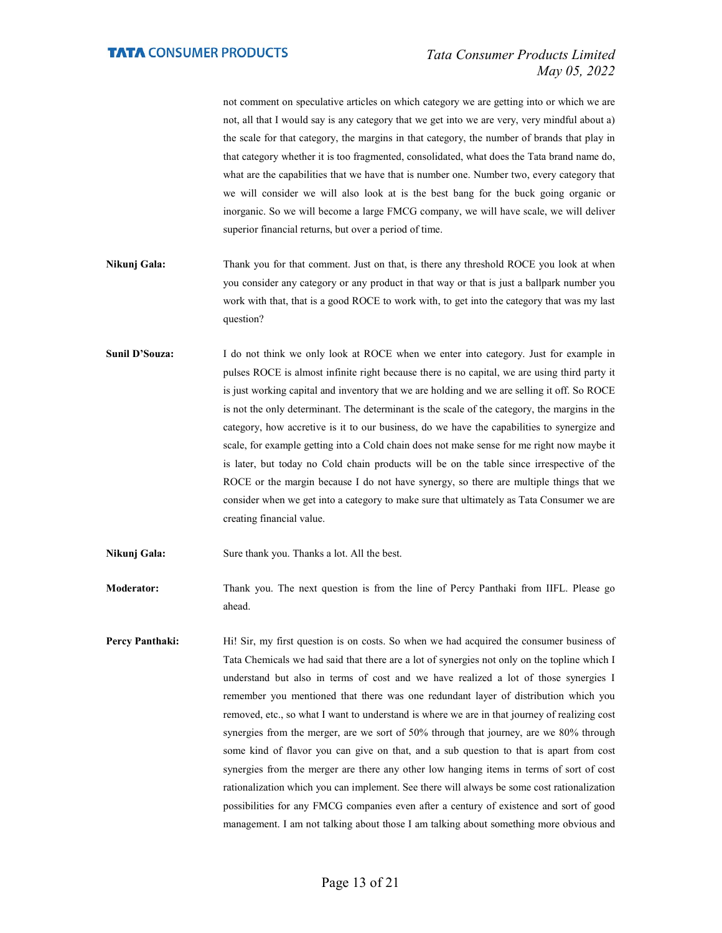not comment on speculative articles on which category we are getting into or which we are not, all that I would say is any category that we get into we are very, very mindful about a) the scale for that category, the margins in that category, the number of brands that play in that category whether it is too fragmented, consolidated, what does the Tata brand name do, what are the capabilities that we have that is number one. Number two, every category that we will consider we will also look at is the best bang for the buck going organic or inorganic. So we will become a large FMCG company, we will have scale, we will deliver superior financial returns, but over a period of time.

- Nikunj Gala: Thank you for that comment. Just on that, is there any threshold ROCE you look at when you consider any category or any product in that way or that is just a ballpark number you work with that, that is a good ROCE to work with, to get into the category that was my last question?
- Sunil D'Souza: I do not think we only look at ROCE when we enter into category. Just for example in pulses ROCE is almost infinite right because there is no capital, we are using third party it is just working capital and inventory that we are holding and we are selling it off. So ROCE is not the only determinant. The determinant is the scale of the category, the margins in the category, how accretive is it to our business, do we have the capabilities to synergize and scale, for example getting into a Cold chain does not make sense for me right now maybe it is later, but today no Cold chain products will be on the table since irrespective of the ROCE or the margin because I do not have synergy, so there are multiple things that we consider when we get into a category to make sure that ultimately as Tata Consumer we are creating financial value.

Nikunj Gala: Sure thank you. Thanks a lot. All the best.

Moderator: Thank you. The next question is from the line of Percy Panthaki from IIFL. Please go ahead.

Percy Panthaki: Hi! Sir, my first question is on costs. So when we had acquired the consumer business of Tata Chemicals we had said that there are a lot of synergies not only on the topline which I understand but also in terms of cost and we have realized a lot of those synergies I remember you mentioned that there was one redundant layer of distribution which you removed, etc., so what I want to understand is where we are in that journey of realizing cost synergies from the merger, are we sort of 50% through that journey, are we 80% through some kind of flavor you can give on that, and a sub question to that is apart from cost synergies from the merger are there any other low hanging items in terms of sort of cost rationalization which you can implement. See there will always be some cost rationalization possibilities for any FMCG companies even after a century of existence and sort of good management. I am not talking about those I am talking about something more obvious and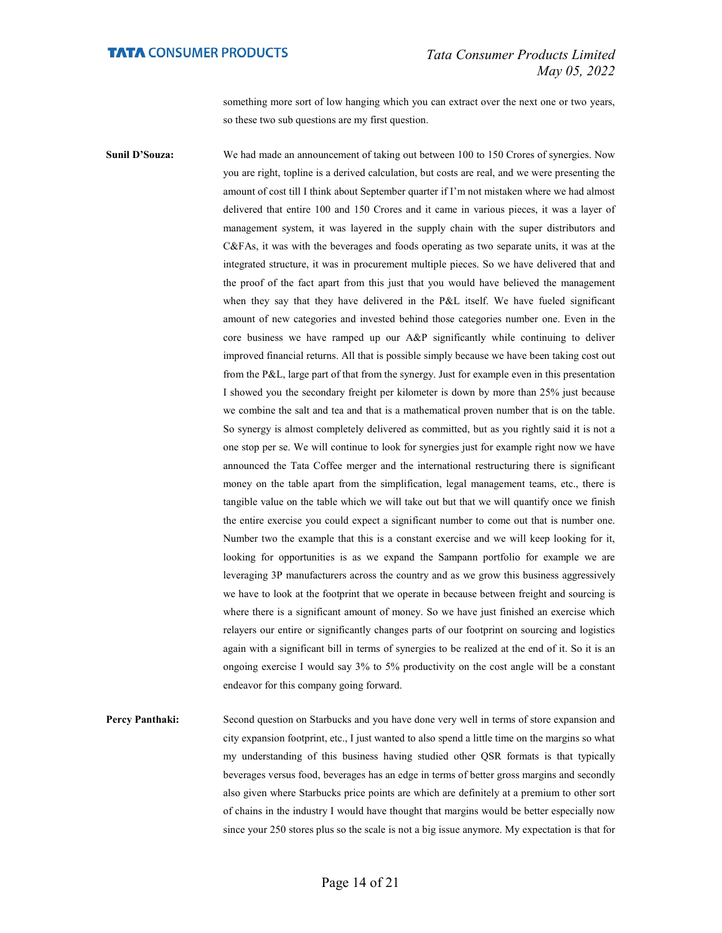something more sort of low hanging which you can extract over the next one or two years, so these two sub questions are my first question.

Sunil D'Souza: We had made an announcement of taking out between 100 to 150 Crores of synergies. Now you are right, topline is a derived calculation, but costs are real, and we were presenting the amount of cost till I think about September quarter if I'm not mistaken where we had almost delivered that entire 100 and 150 Crores and it came in various pieces, it was a layer of management system, it was layered in the supply chain with the super distributors and C&FAs, it was with the beverages and foods operating as two separate units, it was at the integrated structure, it was in procurement multiple pieces. So we have delivered that and the proof of the fact apart from this just that you would have believed the management when they say that they have delivered in the P&L itself. We have fueled significant amount of new categories and invested behind those categories number one. Even in the core business we have ramped up our A&P significantly while continuing to deliver improved financial returns. All that is possible simply because we have been taking cost out from the P&L, large part of that from the synergy. Just for example even in this presentation I showed you the secondary freight per kilometer is down by more than 25% just because we combine the salt and tea and that is a mathematical proven number that is on the table. So synergy is almost completely delivered as committed, but as you rightly said it is not a one stop per se. We will continue to look for synergies just for example right now we have announced the Tata Coffee merger and the international restructuring there is significant money on the table apart from the simplification, legal management teams, etc., there is tangible value on the table which we will take out but that we will quantify once we finish the entire exercise you could expect a significant number to come out that is number one. Number two the example that this is a constant exercise and we will keep looking for it, looking for opportunities is as we expand the Sampann portfolio for example we are leveraging 3P manufacturers across the country and as we grow this business aggressively we have to look at the footprint that we operate in because between freight and sourcing is where there is a significant amount of money. So we have just finished an exercise which relayers our entire or significantly changes parts of our footprint on sourcing and logistics again with a significant bill in terms of synergies to be realized at the end of it. So it is an ongoing exercise I would say 3% to 5% productivity on the cost angle will be a constant endeavor for this company going forward.

Percy Panthaki: Second question on Starbucks and you have done very well in terms of store expansion and city expansion footprint, etc., I just wanted to also spend a little time on the margins so what my understanding of this business having studied other QSR formats is that typically beverages versus food, beverages has an edge in terms of better gross margins and secondly also given where Starbucks price points are which are definitely at a premium to other sort of chains in the industry I would have thought that margins would be better especially now since your 250 stores plus so the scale is not a big issue anymore. My expectation is that for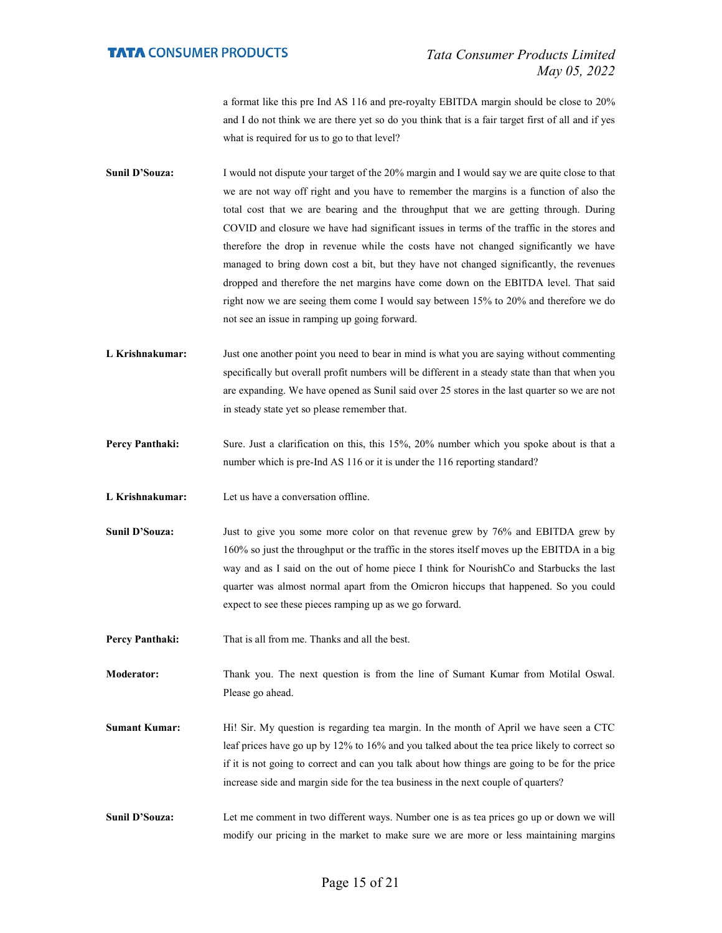a format like this pre Ind AS 116 and pre-royalty EBITDA margin should be close to 20% and I do not think we are there yet so do you think that is a fair target first of all and if yes what is required for us to go to that level?

- Sunil D'Souza: I would not dispute your target of the 20% margin and I would say we are quite close to that we are not way off right and you have to remember the margins is a function of also the total cost that we are bearing and the throughput that we are getting through. During COVID and closure we have had significant issues in terms of the traffic in the stores and therefore the drop in revenue while the costs have not changed significantly we have managed to bring down cost a bit, but they have not changed significantly, the revenues dropped and therefore the net margins have come down on the EBITDA level. That said right now we are seeing them come I would say between 15% to 20% and therefore we do not see an issue in ramping up going forward.
- L Krishnakumar: Just one another point you need to bear in mind is what you are saying without commenting specifically but overall profit numbers will be different in a steady state than that when you are expanding. We have opened as Sunil said over 25 stores in the last quarter so we are not in steady state yet so please remember that.
- Percy Panthaki: Sure. Just a clarification on this, this 15%, 20% number which you spoke about is that a number which is pre-Ind AS 116 or it is under the 116 reporting standard?
- L Krishnakumar: Let us have a conversation offline.
- Sunil D'Souza: Just to give you some more color on that revenue grew by 76% and EBITDA grew by 160% so just the throughput or the traffic in the stores itself moves up the EBITDA in a big way and as I said on the out of home piece I think for NourishCo and Starbucks the last quarter was almost normal apart from the Omicron hiccups that happened. So you could expect to see these pieces ramping up as we go forward.
- Percy Panthaki: That is all from me. Thanks and all the best.
- Moderator: Thank you. The next question is from the line of Sumant Kumar from Motilal Oswal. Please go ahead.
- Sumant Kumar: Hi! Sir. My question is regarding tea margin. In the month of April we have seen a CTC leaf prices have go up by 12% to 16% and you talked about the tea price likely to correct so if it is not going to correct and can you talk about how things are going to be for the price increase side and margin side for the tea business in the next couple of quarters?
- Sunil D'Souza: Let me comment in two different ways. Number one is as tea prices go up or down we will modify our pricing in the market to make sure we are more or less maintaining margins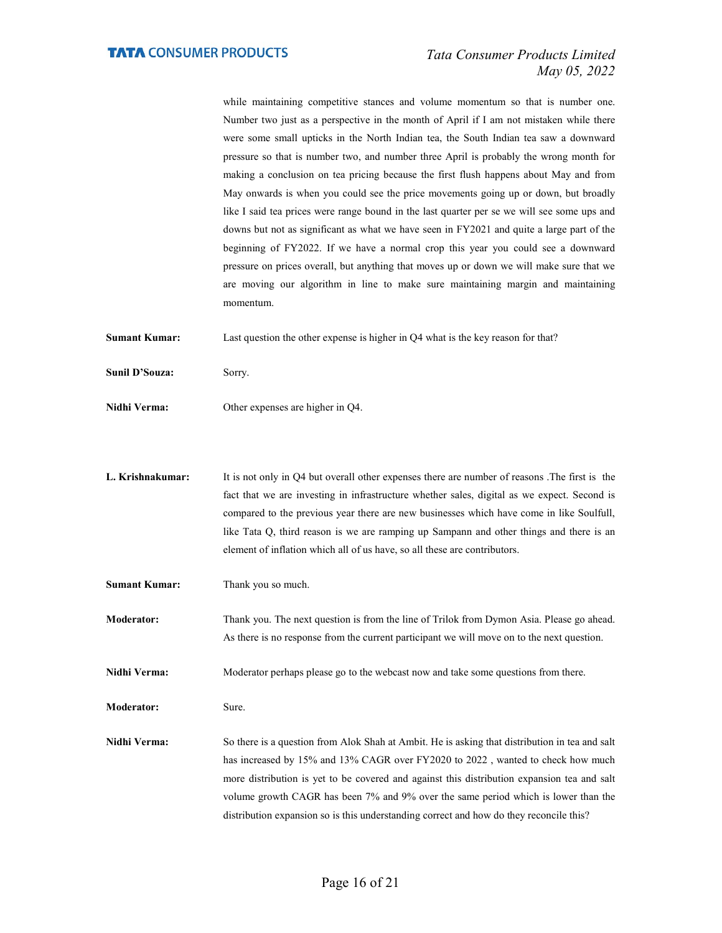while maintaining competitive stances and volume momentum so that is number one. Number two just as a perspective in the month of April if I am not mistaken while there were some small upticks in the North Indian tea, the South Indian tea saw a downward pressure so that is number two, and number three April is probably the wrong month for making a conclusion on tea pricing because the first flush happens about May and from May onwards is when you could see the price movements going up or down, but broadly like I said tea prices were range bound in the last quarter per se we will see some ups and downs but not as significant as what we have seen in FY2021 and quite a large part of the beginning of FY2022. If we have a normal crop this year you could see a downward pressure on prices overall, but anything that moves up or down we will make sure that we are moving our algorithm in line to make sure maintaining margin and maintaining momentum.

Sumant Kumar: Last question the other expense is higher in Q4 what is the key reason for that?

- Sunil D'Souza: Sorry.
- Nidhi Verma: Other expenses are higher in Q4.
- L. Krishnakumar: It is not only in Q4 but overall other expenses there are number of reasons .The first is the fact that we are investing in infrastructure whether sales, digital as we expect. Second is compared to the previous year there are new businesses which have come in like Soulfull, like Tata Q, third reason is we are ramping up Sampann and other things and there is an element of inflation which all of us have, so all these are contributors.
- Sumant Kumar: Thank you so much.
- Moderator: Thank you. The next question is from the line of Trilok from Dymon Asia. Please go ahead. As there is no response from the current participant we will move on to the next question.
- Nidhi Verma: Moderator perhaps please go to the webcast now and take some questions from there.

Moderator: Sure.

Nidhi Verma: So there is a question from Alok Shah at Ambit. He is asking that distribution in tea and salt has increased by 15% and 13% CAGR over FY2020 to 2022 , wanted to check how much more distribution is yet to be covered and against this distribution expansion tea and salt volume growth CAGR has been 7% and 9% over the same period which is lower than the distribution expansion so is this understanding correct and how do they reconcile this?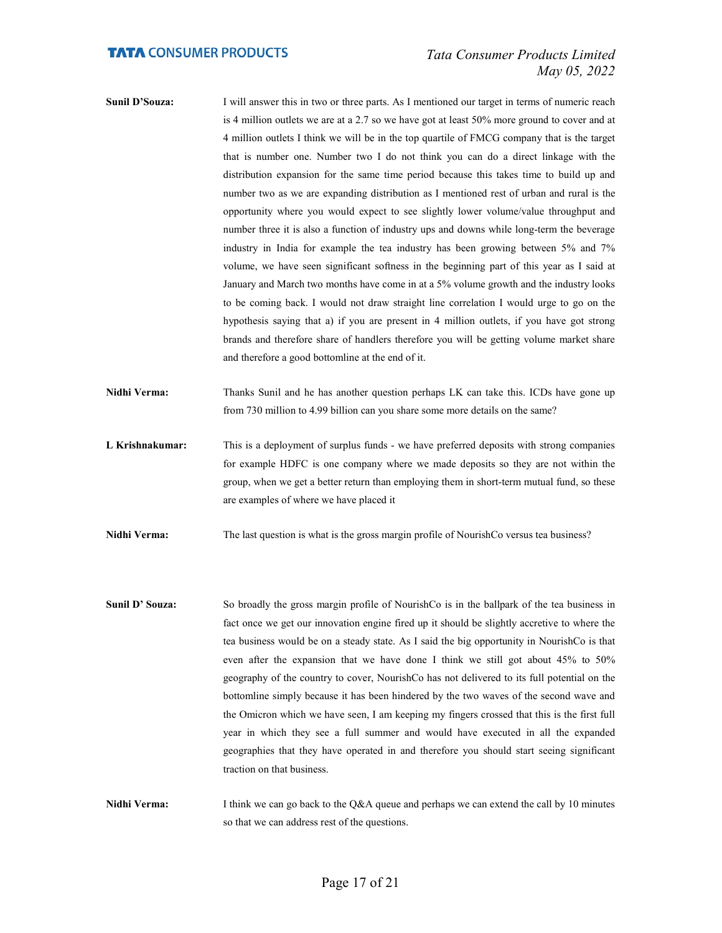- Sunil D'Souza: I will answer this in two or three parts. As I mentioned our target in terms of numeric reach is 4 million outlets we are at a 2.7 so we have got at least 50% more ground to cover and at 4 million outlets I think we will be in the top quartile of FMCG company that is the target that is number one. Number two I do not think you can do a direct linkage with the distribution expansion for the same time period because this takes time to build up and number two as we are expanding distribution as I mentioned rest of urban and rural is the opportunity where you would expect to see slightly lower volume/value throughput and number three it is also a function of industry ups and downs while long-term the beverage industry in India for example the tea industry has been growing between 5% and 7% volume, we have seen significant softness in the beginning part of this year as I said at January and March two months have come in at a 5% volume growth and the industry looks to be coming back. I would not draw straight line correlation I would urge to go on the hypothesis saying that a) if you are present in 4 million outlets, if you have got strong brands and therefore share of handlers therefore you will be getting volume market share and therefore a good bottomline at the end of it.
- Nidhi Verma: Thanks Sunil and he has another question perhaps LK can take this. ICDs have gone up from 730 million to 4.99 billion can you share some more details on the same?
- L Krishnakumar: This is a deployment of surplus funds we have preferred deposits with strong companies for example HDFC is one company where we made deposits so they are not within the group, when we get a better return than employing them in short-term mutual fund, so these are examples of where we have placed it
- Nidhi Verma: The last question is what is the gross margin profile of NourishCo versus tea business?
- Sunil D' Souza: So broadly the gross margin profile of NourishCo is in the ballpark of the tea business in fact once we get our innovation engine fired up it should be slightly accretive to where the tea business would be on a steady state. As I said the big opportunity in NourishCo is that even after the expansion that we have done I think we still got about 45% to 50% geography of the country to cover, NourishCo has not delivered to its full potential on the bottomline simply because it has been hindered by the two waves of the second wave and the Omicron which we have seen, I am keeping my fingers crossed that this is the first full year in which they see a full summer and would have executed in all the expanded geographies that they have operated in and therefore you should start seeing significant traction on that business.
- Nidhi Verma: I think we can go back to the Q&A queue and perhaps we can extend the call by 10 minutes so that we can address rest of the questions.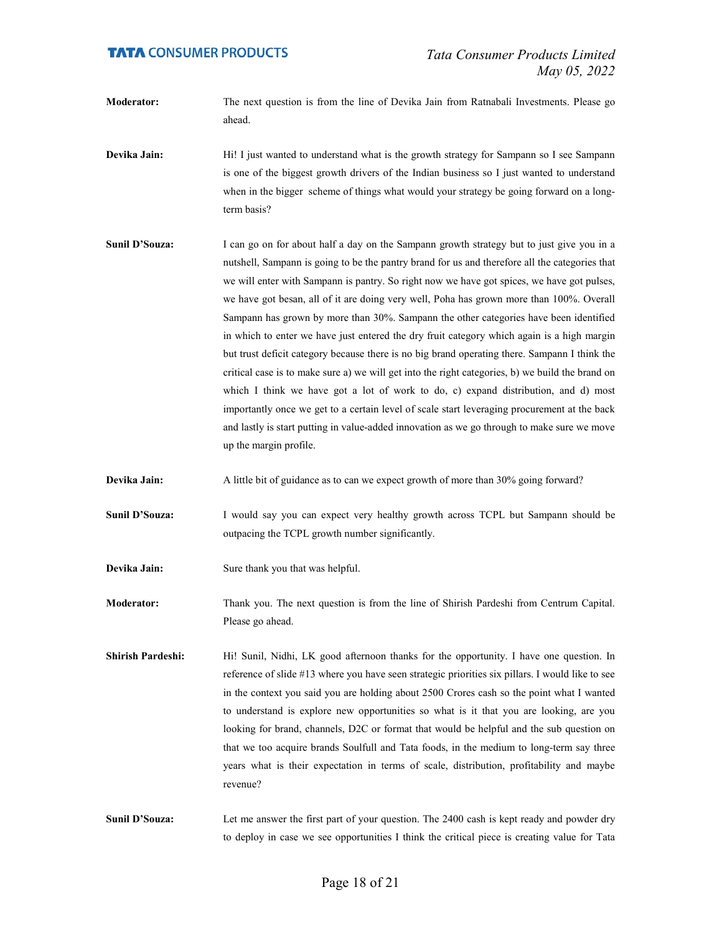- Moderator: The next question is from the line of Devika Jain from Ratnabali Investments. Please go ahead.
- Devika Jain: Hi! I just wanted to understand what is the growth strategy for Sampann so I see Sampann is one of the biggest growth drivers of the Indian business so I just wanted to understand when in the bigger scheme of things what would your strategy be going forward on a longterm basis?
- Sunil D'Souza: I can go on for about half a day on the Sampann growth strategy but to just give you in a nutshell, Sampann is going to be the pantry brand for us and therefore all the categories that we will enter with Sampann is pantry. So right now we have got spices, we have got pulses, we have got besan, all of it are doing very well, Poha has grown more than 100%. Overall Sampann has grown by more than 30%. Sampann the other categories have been identified in which to enter we have just entered the dry fruit category which again is a high margin but trust deficit category because there is no big brand operating there. Sampann I think the critical case is to make sure a) we will get into the right categories, b) we build the brand on which I think we have got a lot of work to do, c) expand distribution, and d) most importantly once we get to a certain level of scale start leveraging procurement at the back and lastly is start putting in value-added innovation as we go through to make sure we move up the margin profile.
- Devika Jain: A little bit of guidance as to can we expect growth of more than 30% going forward?
- Sunil D'Souza: I would say you can expect very healthy growth across TCPL but Sampann should be outpacing the TCPL growth number significantly.
- Devika Jain: Sure thank you that was helpful.
- Moderator: Thank you. The next question is from the line of Shirish Pardeshi from Centrum Capital. Please go ahead.
- Shirish Pardeshi: Hi! Sunil, Nidhi, LK good afternoon thanks for the opportunity. I have one question. In reference of slide #13 where you have seen strategic priorities six pillars. I would like to see in the context you said you are holding about 2500 Crores cash so the point what I wanted to understand is explore new opportunities so what is it that you are looking, are you looking for brand, channels, D2C or format that would be helpful and the sub question on that we too acquire brands Soulfull and Tata foods, in the medium to long-term say three years what is their expectation in terms of scale, distribution, profitability and maybe revenue?
- Sunil D'Souza: Let me answer the first part of your question. The 2400 cash is kept ready and powder dry to deploy in case we see opportunities I think the critical piece is creating value for Tata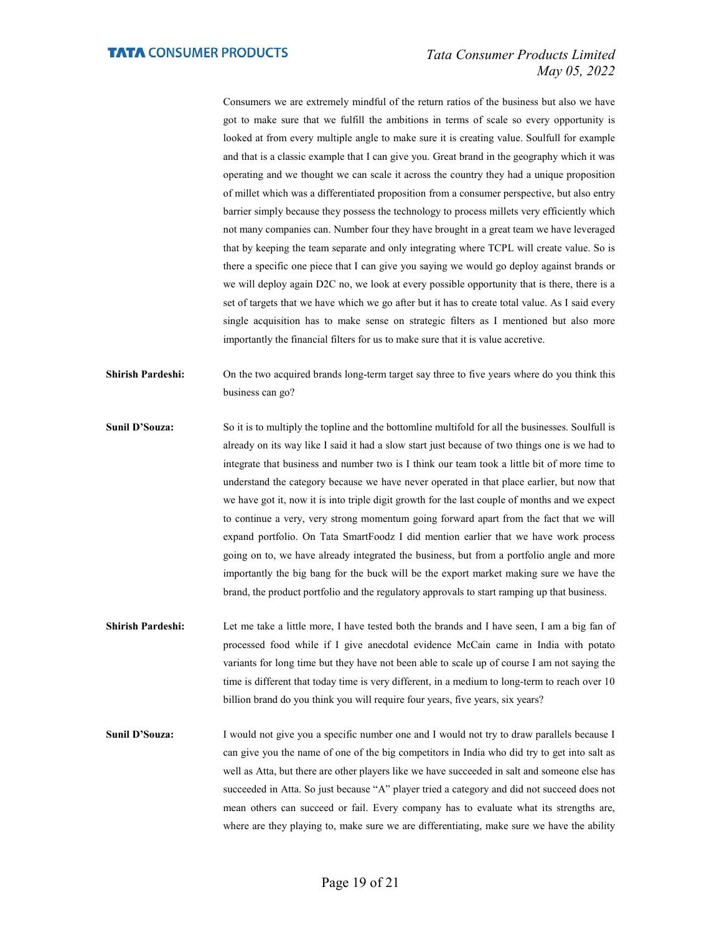Consumers we are extremely mindful of the return ratios of the business but also we have got to make sure that we fulfill the ambitions in terms of scale so every opportunity is looked at from every multiple angle to make sure it is creating value. Soulfull for example and that is a classic example that I can give you. Great brand in the geography which it was operating and we thought we can scale it across the country they had a unique proposition of millet which was a differentiated proposition from a consumer perspective, but also entry barrier simply because they possess the technology to process millets very efficiently which not many companies can. Number four they have brought in a great team we have leveraged that by keeping the team separate and only integrating where TCPL will create value. So is there a specific one piece that I can give you saying we would go deploy against brands or we will deploy again D2C no, we look at every possible opportunity that is there, there is a set of targets that we have which we go after but it has to create total value. As I said every single acquisition has to make sense on strategic filters as I mentioned but also more importantly the financial filters for us to make sure that it is value accretive.

- Shirish Pardeshi: On the two acquired brands long-term target say three to five years where do you think this business can go?
- Sunil D'Souza: So it is to multiply the topline and the bottomline multifold for all the businesses. Soulfull is already on its way like I said it had a slow start just because of two things one is we had to integrate that business and number two is I think our team took a little bit of more time to understand the category because we have never operated in that place earlier, but now that we have got it, now it is into triple digit growth for the last couple of months and we expect to continue a very, very strong momentum going forward apart from the fact that we will expand portfolio. On Tata SmartFoodz I did mention earlier that we have work process going on to, we have already integrated the business, but from a portfolio angle and more importantly the big bang for the buck will be the export market making sure we have the brand, the product portfolio and the regulatory approvals to start ramping up that business.
- Shirish Pardeshi: Let me take a little more, I have tested both the brands and I have seen, I am a big fan of processed food while if I give anecdotal evidence McCain came in India with potato variants for long time but they have not been able to scale up of course I am not saying the time is different that today time is very different, in a medium to long-term to reach over 10 billion brand do you think you will require four years, five years, six years?
- Sunil D'Souza: I would not give you a specific number one and I would not try to draw parallels because I can give you the name of one of the big competitors in India who did try to get into salt as well as Atta, but there are other players like we have succeeded in salt and someone else has succeeded in Atta. So just because "A" player tried a category and did not succeed does not mean others can succeed or fail. Every company has to evaluate what its strengths are, where are they playing to, make sure we are differentiating, make sure we have the ability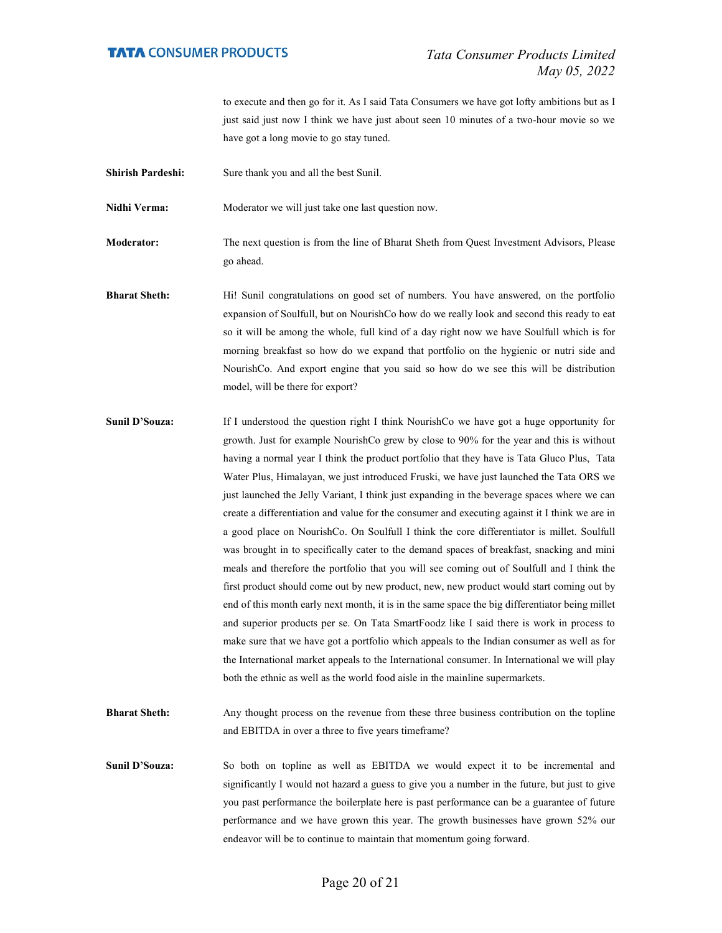to execute and then go for it. As I said Tata Consumers we have got lofty ambitions but as I just said just now I think we have just about seen 10 minutes of a two-hour movie so we have got a long movie to go stay tuned.

Shirish Pardeshi: Sure thank you and all the best Sunil.

Nidhi Verma: Moderator we will just take one last question now.

Moderator: The next question is from the line of Bharat Sheth from Quest Investment Advisors, Please go ahead.

Bharat Sheth: Hi! Sunil congratulations on good set of numbers. You have answered, on the portfolio expansion of Soulfull, but on NourishCo how do we really look and second this ready to eat so it will be among the whole, full kind of a day right now we have Soulfull which is for morning breakfast so how do we expand that portfolio on the hygienic or nutri side and NourishCo. And export engine that you said so how do we see this will be distribution model, will be there for export?

Sunil D'Souza: If I understood the question right I think NourishCo we have got a huge opportunity for growth. Just for example NourishCo grew by close to 90% for the year and this is without having a normal year I think the product portfolio that they have is Tata Gluco Plus, Tata Water Plus, Himalayan, we just introduced Fruski, we have just launched the Tata ORS we just launched the Jelly Variant, I think just expanding in the beverage spaces where we can create a differentiation and value for the consumer and executing against it I think we are in a good place on NourishCo. On Soulfull I think the core differentiator is millet. Soulfull was brought in to specifically cater to the demand spaces of breakfast, snacking and mini meals and therefore the portfolio that you will see coming out of Soulfull and I think the first product should come out by new product, new, new product would start coming out by end of this month early next month, it is in the same space the big differentiator being millet and superior products per se. On Tata SmartFoodz like I said there is work in process to make sure that we have got a portfolio which appeals to the Indian consumer as well as for the International market appeals to the International consumer. In International we will play both the ethnic as well as the world food aisle in the mainline supermarkets.

Bharat Sheth: Any thought process on the revenue from these three business contribution on the topline and EBITDA in over a three to five years timeframe?

Sunil D'Souza: So both on topline as well as EBITDA we would expect it to be incremental and significantly I would not hazard a guess to give you a number in the future, but just to give you past performance the boilerplate here is past performance can be a guarantee of future performance and we have grown this year. The growth businesses have grown 52% our endeavor will be to continue to maintain that momentum going forward.